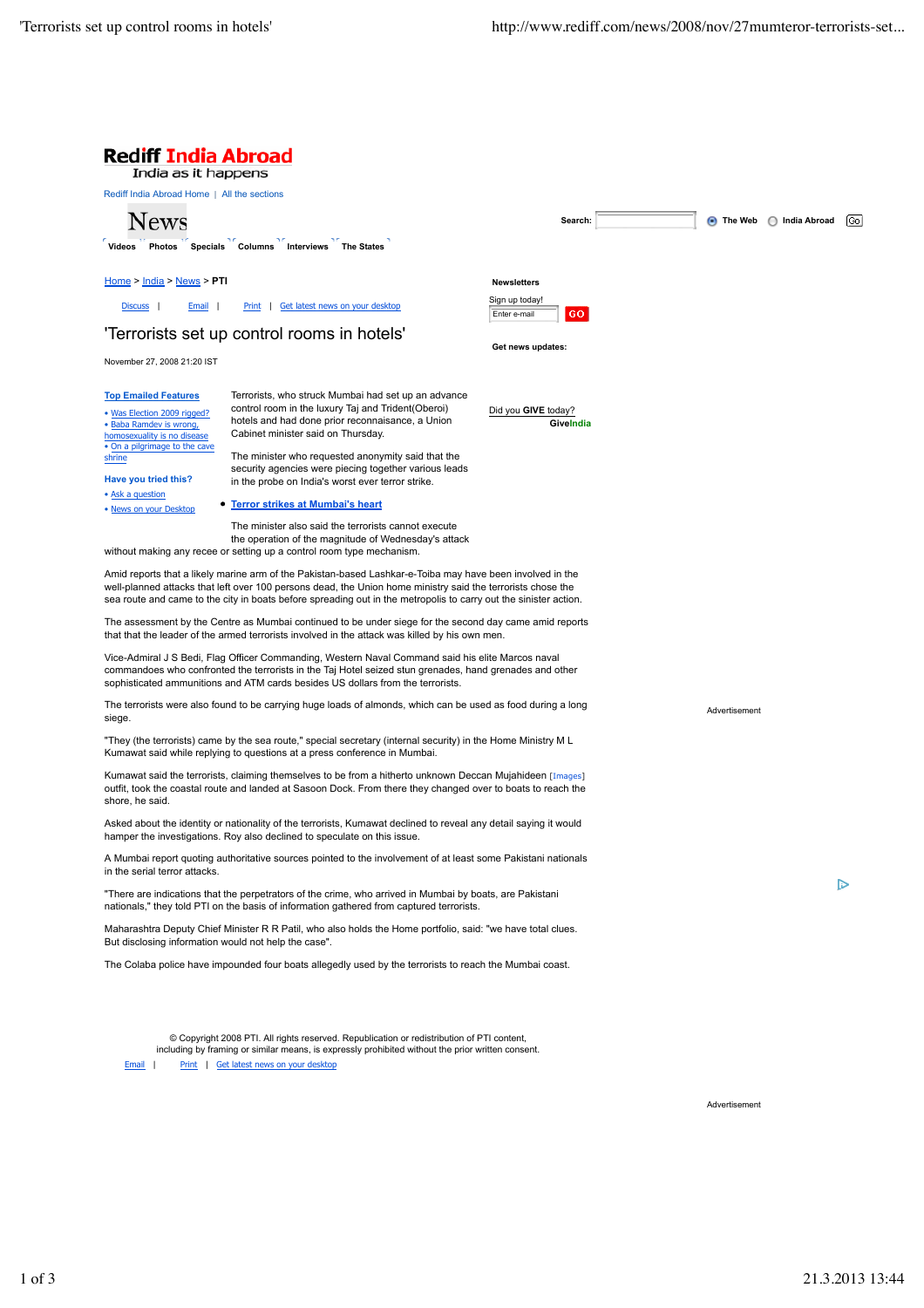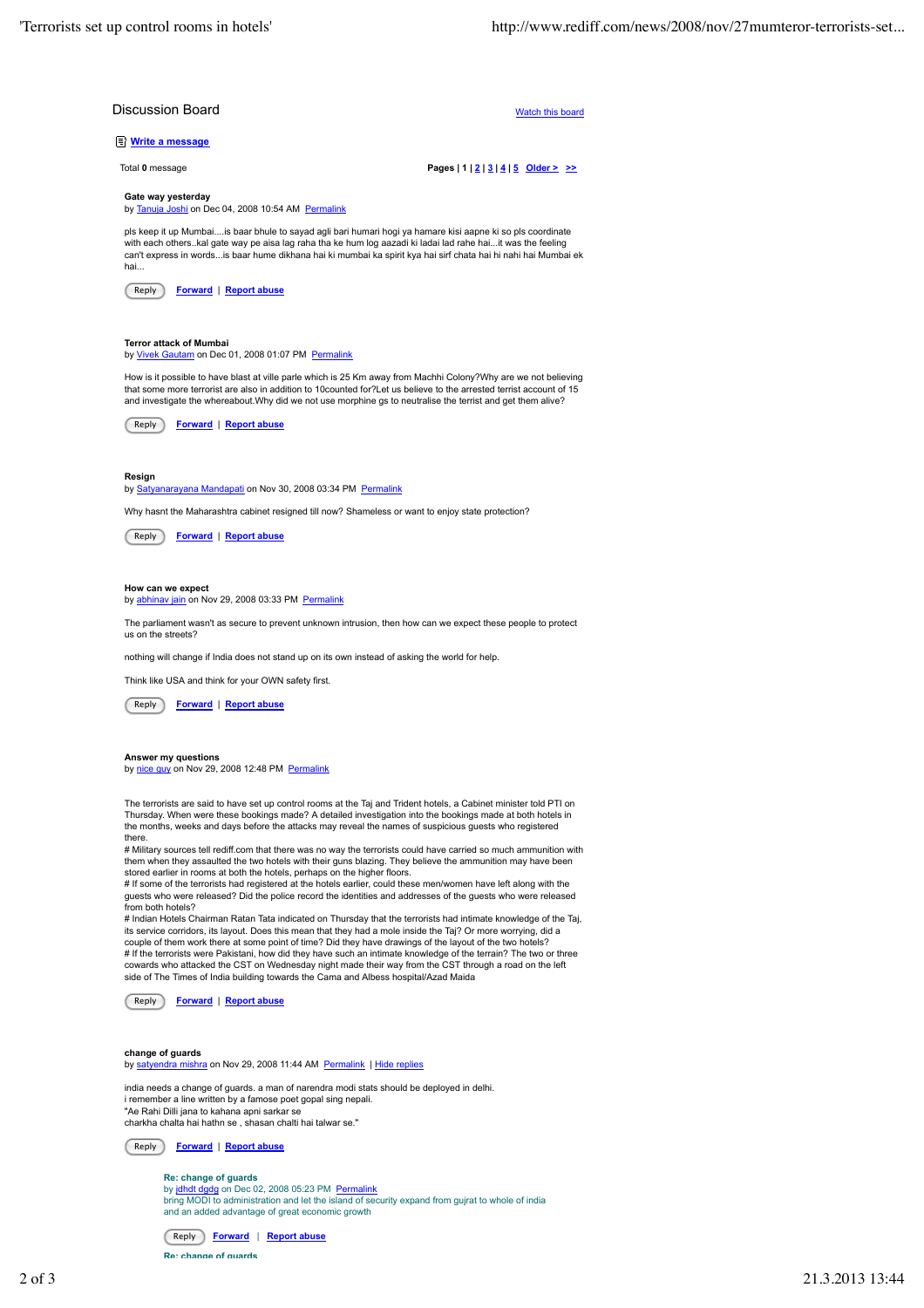

by jdhdt dgdg on Dec 02, 2008 05:23 PM Permalink bring MODI to administration and let the island of security expand from gujrat to whole of india and an added advantage of great economic growth



**Re: change of guards**